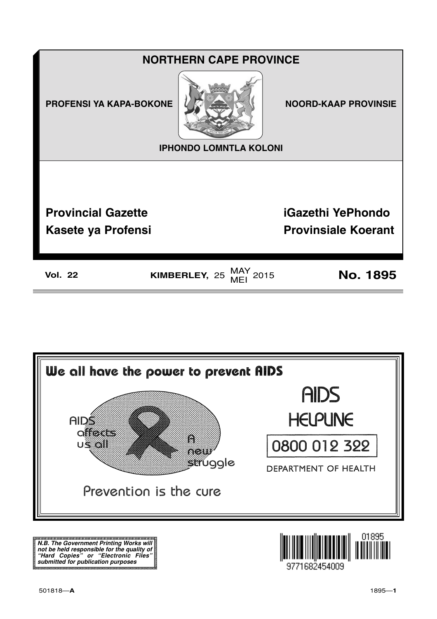



**N.B. The Government Printing Works will not be held responsible for the quality of "Hard Copies" or "Electronic Files" submitted for publication purposes**

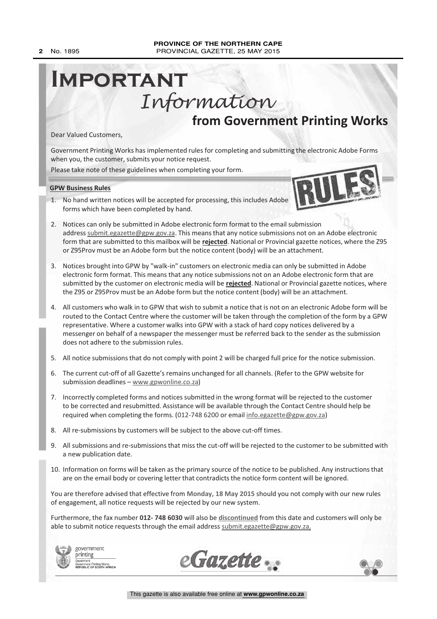# **Important** Information

**from Government Printing Works**

Dear Valued Customers,

Government Printing Works has implemented rules for completing and submitting the electronic Adobe Forms when you, the customer, submits your notice request.

Please take note of these guidelines when completing your form.

**GPW Business Rules**

1. No hand written notices will be accepted for processing, this includes Adobe forms which have been completed by hand.



- 3. Notices brought into GPW by "walk-in" customers on electronic media can only be submitted in Adobe electronic form format. This means that any notice submissions not on an Adobe electronic form that are submitted by the customer on electronic media will be **rejected**. National or Provincial gazette notices, where the Z95 or Z95Prov must be an Adobe form but the notice content (body) will be an attachment.
- 4. All customers who walk in to GPW that wish to submit a notice that is not on an electronic Adobe form will be routed to the Contact Centre where the customer will be taken through the completion of the form by a GPW representative. Where a customer walks into GPW with a stack of hard copy notices delivered by a messenger on behalf of a newspaper the messenger must be referred back to the sender as the submission does not adhere to the submission rules.
- 5. All notice submissions that do not comply with point 2 will be charged full price for the notice submission.
- 6. The current cut-off of all Gazette's remains unchanged for all channels. (Refer to the GPW website for submission deadlines – www.gpwonline.co.za)
- 7. Incorrectly completed forms and notices submitted in the wrong format will be rejected to the customer to be corrected and resubmitted. Assistance will be available through the Contact Centre should help be required when completing the forms. (012-748 6200 or email info.egazette@gpw.gov.za)
- 8. All re-submissions by customers will be subject to the above cut-off times.
- 9. All submissions and re-submissions that miss the cut-off will be rejected to the customer to be submitted with a new publication date.
- 10. Information on forms will be taken as the primary source of the notice to be published. Any instructions that are on the email body or covering letter that contradicts the notice form content will be ignored.

You are therefore advised that effective from **Monday, 18 May 2015** should you not comply with our new rules of engagement, all notice requests will be rejected by our new system.

Furthermore, the fax number **012- 748 6030** will also be **discontinued** from this date and customers will only be able to submit notice requests through the email address submit.egazette@gpw.gov.za.









**1945**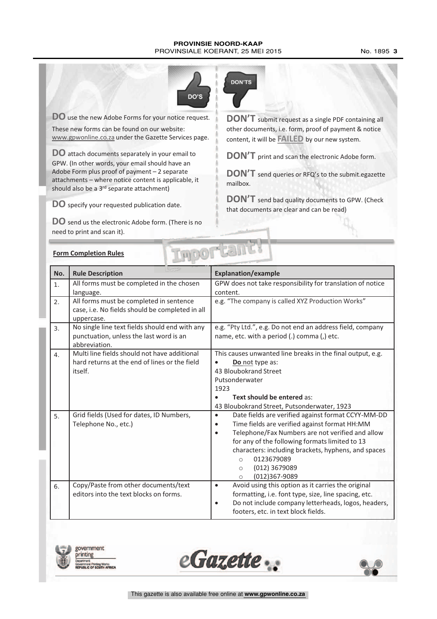#### **PROVINSIE NOORD-KAAP** PROVINSIALE KOERANT, 25 MEI 2015 No. 1895 3



**DO** use the new Adobe Forms for your notice request. These new forms can be found on our website: www.gpwonline.co.za under the Gazette Services page.

**DO** attach documents separately in your email to GPW. (In other words, your email should have an Adobe Form plus proof of payment – 2 separate attachments – where notice content is applicable, it should also be a 3<sup>rd</sup> separate attachment)

**DO** specify your requested publication date.

**DO** send us the electronic Adobe form. (There is no need to print and scan it).



**DON'T** submit request as <sup>a</sup> single PDF containing all other documents, i.e. form, proof of payment & notice content, it will be **FAILED** by our new system.

**DON'T** print and scan the electronic Adobe form.

**DON'T** send queries or RFQ's to the submit.egazette mailbox.

**DON'T** send bad quality documents to GPW. (Check) that documents are clear and can be read)

|  | <b>Form Completion Rules</b> |  |
|--|------------------------------|--|
|  |                              |  |

| DOLLE I<br><b>Form Completion Rules</b> |                                                                                                            |                                                                                                                                                                                                                                                                                                                                                                                             |  |  |  |
|-----------------------------------------|------------------------------------------------------------------------------------------------------------|---------------------------------------------------------------------------------------------------------------------------------------------------------------------------------------------------------------------------------------------------------------------------------------------------------------------------------------------------------------------------------------------|--|--|--|
| No.                                     | <b>Rule Description</b>                                                                                    | <b>Explanation/example</b>                                                                                                                                                                                                                                                                                                                                                                  |  |  |  |
| 1.                                      | All forms must be completed in the chosen<br>language.                                                     | GPW does not take responsibility for translation of notice<br>content.                                                                                                                                                                                                                                                                                                                      |  |  |  |
| 2.                                      | All forms must be completed in sentence<br>case, i.e. No fields should be completed in all<br>uppercase.   | e.g. "The company is called XYZ Production Works"                                                                                                                                                                                                                                                                                                                                           |  |  |  |
| 3.                                      | No single line text fields should end with any<br>punctuation, unless the last word is an<br>abbreviation. | e.g. "Pty Ltd.", e.g. Do not end an address field, company<br>name, etc. with a period (.) comma (,) etc.                                                                                                                                                                                                                                                                                   |  |  |  |
| 4.                                      | Multi line fields should not have additional<br>hard returns at the end of lines or the field<br>itself.   | This causes unwanted line breaks in the final output, e.g.<br>Do not type as:<br>43 Bloubokrand Street<br>Putsonderwater<br>1923<br>Text should be entered as:<br>43 Bloubokrand Street, Putsonderwater, 1923                                                                                                                                                                               |  |  |  |
| 5.                                      | Grid fields (Used for dates, ID Numbers,<br>Telephone No., etc.)                                           | Date fields are verified against format CCYY-MM-DD<br>$\bullet$<br>Time fields are verified against format HH:MM<br>$\bullet$<br>Telephone/Fax Numbers are not verified and allow<br>$\bullet$<br>for any of the following formats limited to 13<br>characters: including brackets, hyphens, and spaces<br>0123679089<br>$\circ$<br>(012) 3679089<br>$\circ$<br>(012)367-9089<br>$\bigcirc$ |  |  |  |
| 6.                                      | Copy/Paste from other documents/text<br>editors into the text blocks on forms.                             | Avoid using this option as it carries the original<br>$\bullet$<br>formatting, i.e. font type, size, line spacing, etc.<br>Do not include company letterheads, logos, headers,<br>$\bullet$<br>footers, etc. in text block fields.                                                                                                                                                          |  |  |  |



government rinting **Printing Works<br>DF SOUTH AFRICA** 



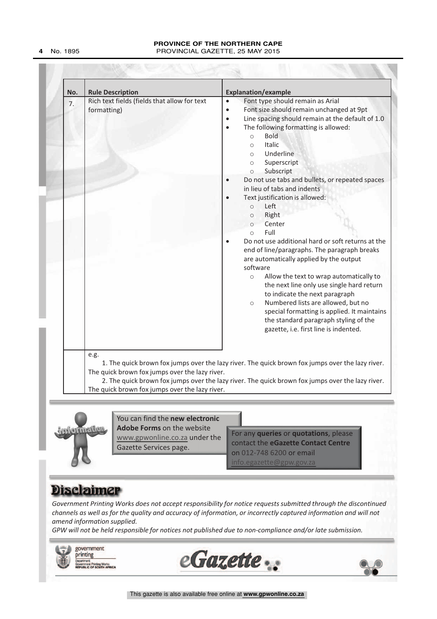#### **PROVINCE OF THE NORTHERN CAPE 4** No. 1895 PROVINCIAL GAZETTE, 25 MAY 2015

| No. | <b>Rule Description</b>                                                                                                                                                                                                                                                                                          | <b>Explanation/example</b>                                                                                                                                                                                                                                                                                                                                                                                                                                                                                                                                                                                                                                                                                                                                                                                                                                                                                                                                                                                                                                  |  |  |  |
|-----|------------------------------------------------------------------------------------------------------------------------------------------------------------------------------------------------------------------------------------------------------------------------------------------------------------------|-------------------------------------------------------------------------------------------------------------------------------------------------------------------------------------------------------------------------------------------------------------------------------------------------------------------------------------------------------------------------------------------------------------------------------------------------------------------------------------------------------------------------------------------------------------------------------------------------------------------------------------------------------------------------------------------------------------------------------------------------------------------------------------------------------------------------------------------------------------------------------------------------------------------------------------------------------------------------------------------------------------------------------------------------------------|--|--|--|
| 7.  | Rich text fields (fields that allow for text<br>formatting)                                                                                                                                                                                                                                                      | Font type should remain as Arial<br>$\bullet$<br>Font size should remain unchanged at 9pt<br>$\bullet$<br>Line spacing should remain at the default of 1.0<br>$\bullet$<br>The following formatting is allowed:<br>$\bullet$<br><b>Bold</b><br>$\circ$<br>Italic<br>$\circ$<br>Underline<br>$\circ$<br>Superscript<br>$\circ$<br>Subscript<br>$\circ$<br>Do not use tabs and bullets, or repeated spaces<br>in lieu of tabs and indents<br>Text justification is allowed:<br>$\bullet$<br>Left<br>$\circ$<br>Right<br>$\circ$<br>Center<br>$\Omega$<br>Full<br>$\bigcap$<br>Do not use additional hard or soft returns at the<br>end of line/paragraphs. The paragraph breaks<br>are automatically applied by the output<br>software<br>Allow the text to wrap automatically to<br>$\circ$<br>the next line only use single hard return<br>to indicate the next paragraph<br>Numbered lists are allowed, but no<br>$\circ$<br>special formatting is applied. It maintains<br>the standard paragraph styling of the<br>gazette, i.e. first line is indented. |  |  |  |
|     | e.g.<br>1. The quick brown fox jumps over the lazy river. The quick brown fox jumps over the lazy river.<br>The quick brown fox jumps over the lazy river.<br>2. The quick brown fox jumps over the lazy river. The quick brown fox jumps over the lazy river.<br>The quick brown fox jumps over the lazy river. |                                                                                                                                                                                                                                                                                                                                                                                                                                                                                                                                                                                                                                                                                                                                                                                                                                                                                                                                                                                                                                                             |  |  |  |



You can find the **new electronic Adobe Forms** on the website www.gpwonline.co.za under the Gazette Services page.

Multiplied de Forms on the website<br>
WWW.gpwonline.co.za under the<br>
Gazette Services page.<br>
The contact the eGazette Contact Centre<br>
on 012-748 6200 or email<br>
info.egazette@gpw.gov.za For any **queries** or **quotations**, please contact the **eGazette Contact Centre** on 012-748 6200 or email egazette@gpw.gov.za

# **Disclaimer**

*Government Printing Works does not accept responsibility for notice requests submitted through the discontinued channels as well as for the quality and accuracy of information, or incorrectly captured information and will not amend information supplied.*

*GPW will not be held responsible for notices not published due to non-compliance and/or late submission.*

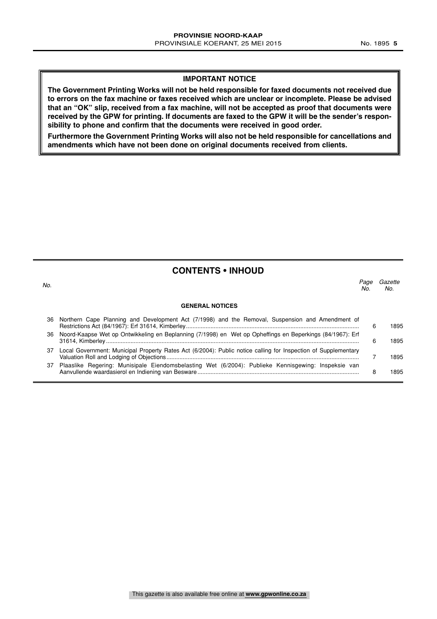**The Government Printing Works will not be held responsible for faxed documents not received due to errors on the fax machine or faxes received which are unclear or incomplete. Please be advised that an "OK" slip, received from a fax machine, will not be accepted as proof that documents were received by the GPW for printing. If documents are faxed to the GPW it will be the sender's responsibility to phone and confirm that the documents were received in good order.**

**Furthermore the Government Printing Works will also not be held responsible for cancellations and amendments which have not been done on original documents received from clients.**

### **CONTENTS • INHOUD**

| No. |                                                                                                                | Page<br>Nο | Gazette<br>No. |
|-----|----------------------------------------------------------------------------------------------------------------|------------|----------------|
|     | <b>GENERAL NOTICES</b>                                                                                         |            |                |
| 36  | Northern Cape Planning and Development Act (7/1998) and the Removal, Suspension and Amendment of               | 6          | 1895           |
| 36. | Noord-Kaapse Wet op Ontwikkeling en Beplanning (7/1998) en Wet op Opheffings en Beperkings (84/1967): Erf      | ิค         | 1895           |
| 37  | Local Government: Municipal Property Rates Act (6/2004): Public notice calling for Inspection of Supplementary |            | 895 ا          |

37 Plaaslike Regering: Munisipale Eiendomsbelasting Wet (6/2004): Publieke Kennisgewing: Inspeksie van Aanvullende waardasierol en Indiening van Besware................................................................................................... 8 1895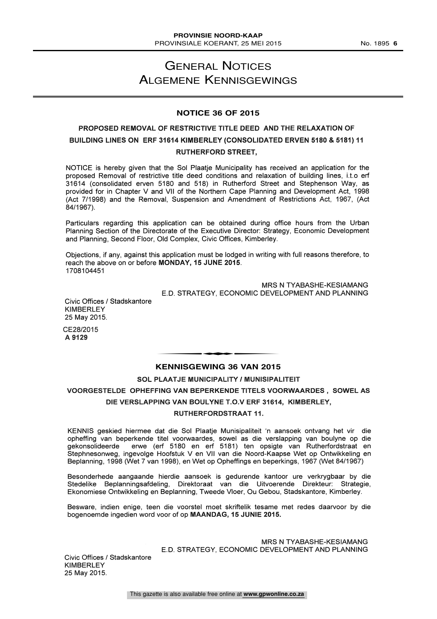## GENERAL NOTICES ALGEMENE KENNISGEWINGS

#### **NOTICE 36 OF 2015**

### PROPOSED REMOVAL OF RESTRICTIVE TITLE DEED AND THE RELAXATION OF BUILDING LINES ON ERF 31614 KIMBERLEY (CONSOLIDATED ERVEN 5180 & 5181) 11 RUTHERFORD STREET,

NOTICE is hereby given that the Sol Plaatje Municipality has received an application for the proposed Removal of restrictive title deed conditions and relaxation of building lines, i.t.o erf 31614 (consolidated erven 5180 and 518) in Rutherford Street and Stephenson Way, as provided for in Chapter V and VII of the Northern Cape Planning and Development Act, 1998 (Act 7/1998) and the Removal, Suspension and Amendment of Restrictions Act, 1967, (Act 84/1967).

Particulars regarding this application can be obtained during office hours from the Urban Planning Section of the Directorate of the Executive Director: Strategy, Economic Development and Planning, Second Floor, Old Complex, Civic Offices, Kimberley.

Objections, if any, against this application must be lodged in writing with full reasons therefore, to reach the above on or before MONDAY, 15 JUNE 2015. 1708104451

> MRS N TYABASHE-KESIAMANG E.D. STRATEGY, ECONOMIC DEVELOPMENT AND PLANNING

Civic Offices / Stadskantore KIMBERLEY 25 May 2015.

CE28/2015 A 9129

# **KENNISGEWING 36 VAN 2015** ENNISCEMENT OF VAN ONE

SOL PLAATJE MUNICIPALITY / MUNISIPALITEIT VOORGESTELDE OPHEFFING VAN BEPERKENDE TITELS VOORWAARDES , SOWEL AS DIE VERSLAPPING VAN BOULYNE T.O.V ERF 31614, KIMBERLEY, RUTHERFORDSTRAAT 11.

KENNIS geskied hiermee dat die Sol Plaatje Munisipaliteit 'n aansoek ontvang het vir die opheffing van beperkende titel voorwaardes, sowel as die verslapping van boulyne op die gekonsolideerde erwe (erf 5180 en erf 5181) ten opsigte van Rutherfordstraat en Stephnesonweg, ingevolge Hoofstuk V en VII van die Noord-Kaapse Wet op Ontwikkeling en Beplanning, 1998 (Wet 7 van 1998), en Wet op Opheffings en beperkings, 1967 (Wet 84/1967)

Besonderhede aangaande hierdie aansoek is gedurende kantoor ure verkrygbaar by die Stedelike Beplanningsafdeling, Direktoraat van die Uitvoerende Direkteur: Strategie, Ekonomiese Ontwikkeling en Beplanning, Tweede Vloer, Ou Gebou, Stadskantore, Kimberley.

Besware, indien enige, teen die voorstel moet skriftelik tesame met redes daarvoor by die bogenoemde ingedien word voor of op MAANDAG, 15 JUNIE 2015.

> MRS N TYABASHE-KESIAMANG E.D. STRATEGY, ECONOMIC DEVELOPMENT AND PLANNING

Civic Offices / Stadskantore KIMBERLEY 25 May 2015.

This gazette is also available free online at **www.gpwonline.co.za**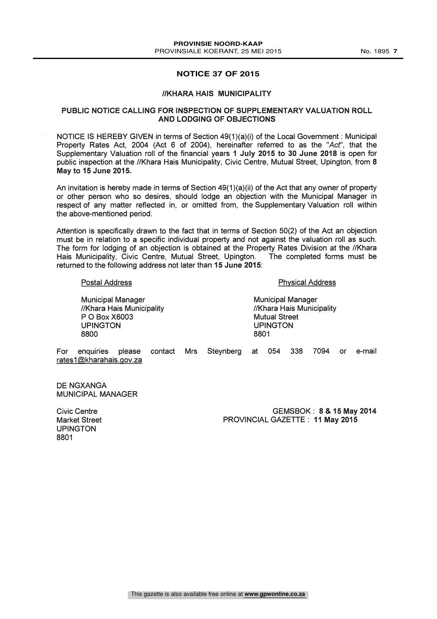#### **NOTICE 37 OF 2015**

#### //KHARA HAIS MUNICIPALITY

#### PUBLIC NOTICE CALLING FOR INSPECTION OF SUPPLEMENTARY VALUATION ROLL AND LODGING OF OBJECTIONS

NOTICE IS HEREBY GIVEN in terms of Section 49(1)(a)(i) of the Local Government : Municipal Property Rates Act, 2004 (Act 6 of 2004), hereinafter referred to as the "Act', that the Supplementary Valuation roll of the financial years 1 July 2015 to 30 June 2018 is open for public inspection at the //Khara Hais Municipality, Civic Centre, Mutual Street, Upington, from 8 May to 15 June 2015.

An invitation is hereby made in terms of Section  $49(1)(a)(ii)$  of the Act that any owner of property or other person who so desires, should lodge an objection with the Municipal Manager in respect of any matter reflected in, or omitted from, the Supplementary Valuation roll within the above-mentioned period.

Attention is specifically drawn to the fact that in terms of Section 50(2) of the Act an objection must be in relation to a specific individual property and not against the valuation roll as such. The form for lodging of an objection is obtained at the Property Rates Division at the //Khara<br>Hais Municipality, Civic Centre, Mutual Street, Upington, The completed forms must be Hais Municipality, Civic Centre, Mutual Street, Upington. returned to the following address not later than 15 June 2015:

#### Postal Address

Municipal Manager //Khara Hais Municipality P 0 Box X6003 UPINGTON 8800

Physical Address

Municipal Manager //Khara Hais Municipality Mutual Street UPINGTON 8801

For enquiries please rates1@kharahais.gov.za contact Mrs Steynberg at 054 338 7094 or e-mail

DE NGXANGA MUNICIPAL MANAGER

Civic Centre Market Street UPINGTON 8801

GEMSBOK : 8 & 15 May 2014 PROVINCIAL GAZETTE : 11 May 2015